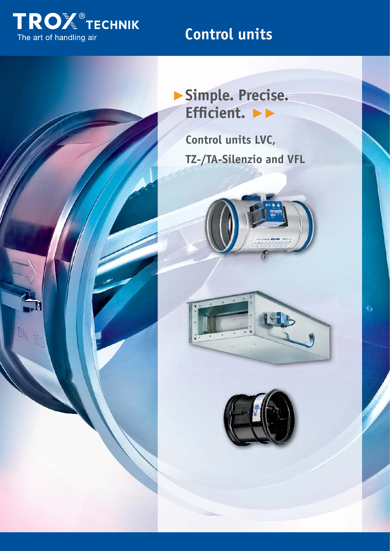

# **Control units**



**Control units LVC, TZ-/TA-Silenzio and VFL**





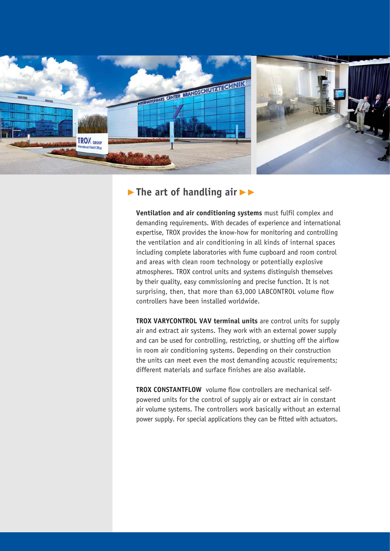

## ▶**The art of handling air** ▶▶

**Ventilation and air conditioning systems** must fulfil complex and demanding requirements. With decades of experience and international expertise, TROX provides the know-how for monitoring and controlling the ventilation and air conditioning in all kinds of internal spaces including complete laboratories with fume cupboard and room control and areas with clean room technology or potentially explosive atmospheres. TROX control units and systems distinguish themselves by their quality, easy commissioning and precise function. It is not surprising, then, that more than 63,000 LABCONTROL volume flow controllers have been installed worldwide.

**TROX VARYCONTROL VAV terminal units** are control units for supply air and extract air systems. They work with an external power supply and can be used for controlling, restricting, or shutting off the airflow in room air conditioning systems. Depending on their construction the units can meet even the most demanding acoustic requirements; different materials and surface finishes are also available.

**TROX CONSTANTFLOW** volume flow controllers are mechanical selfpowered units for the control of supply air or extract air in constant air volume systems. The controllers work basically without an external power supply. For special applications they can be fitted with actuators.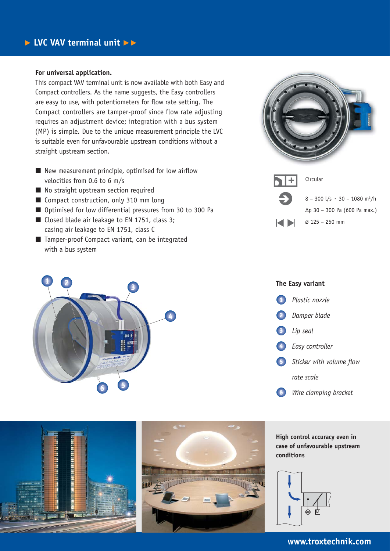#### **For universal application.**

This compact VAV terminal unit is now available with both Easy and Compact controllers. As the name suggests, the Easy controllers are easy to use, with potentiometers for flow rate setting. The Compact controllers are tamper-proof since flow rate adjusting requires an adjustment device; integration with a bus system (MP) is simple. Due to the unique measurement principle the LVC is suitable even for unfavourable upstream conditions without a straight upstream section.

- New measurement principle, optimised for low airflow velocities from 0.6 to 6 m/s
- No straight upstream section required
- Compact construction, only 310 mm long
- Optimised for low differential pressures from 30 to 300 Pa
- Closed blade air leakage to EN 1751, class 3; casing air leakage to EN 1751, class C
- Tamper-proof Compact variant, can be integrated with a bus system



# **<sup>1</sup> <sup>2</sup> <sup>3</sup> 4 5 6**

a ces se e se a seu cen ann ann an a

# **The Easy variant**





**High control accuracy even in case of unfavourable upstream conditions**



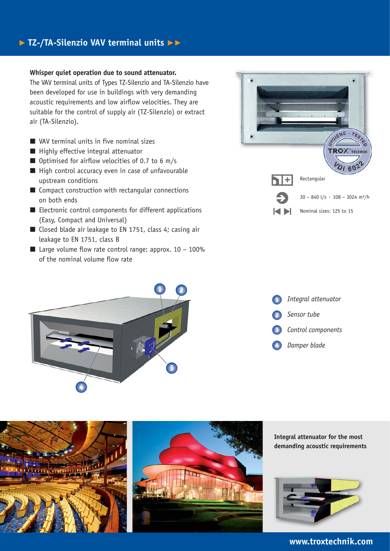## ▶ **TZ-/TA-Silenzio VAV terminal units** ▶▶

#### **Whisper quiet operation due to sound attenuator.**

The VAV terminal units of Types TZ-Silenzio and TA-Silenzio have been developed for use in buildings with very demanding acoustic requirements and low airflow velocities. They are suitable for the control of supply air (TZ-Silenzio) or extract air (TA-Silenzio).

- VAV terminal units in five nominal sizes
- Highly effective integral attenuator
- Optimised for airflow velocities of 0.7 to 6 m/s
- High control accuracy even in case of unfavourable upstream conditions
- Compact construction with rectangular connections on both ends
- Electronic control components for different applications (Easy, Compact and Universal)
- Closed blade air leakage to EN 1751, class 4; casing air leakage to EN 1751, class B
- Large volume flow rate control range: approx.  $10 100\%$ of the nominal volume flow rate









#### **www.troxtechnik.com**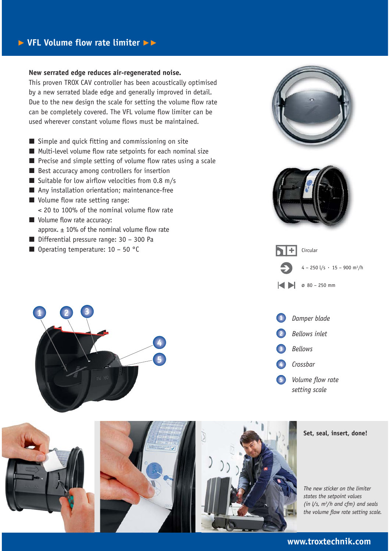### ▶ **VFL Volume flow rate limiter** ▶▶

#### **New serrated edge reduces air-regenerated noise.**

This proven TROX CAV controller has been acoustically optimised by a new serrated blade edge and generally improved in detail. Due to the new design the scale for setting the volume flow rate can be completely covered. The VFL volume flow limiter can be used wherever constant volume flows must be maintained.

- Simple and quick fitting and commissioning on site
- Multi-level volume flow rate setpoints for each nominal size
- Precise and simple setting of volume flow rates using a scale
- Best accuracy among controllers for insertion
- Suitable for low airflow velocities from 0.8 m/s
- Any installation orientation; maintenance-free
- Volume flow rate setting range: < 20 to 100% of the nominal volume flow rate
- Volume flow rate accuracy: approx.  $\pm$  10% of the nominal volume flow rate
- Differential pressure range: 30 300 Pa
- $\blacksquare$  Operating temperature: 10 50 °C













#### **www.troxtechnik.com**